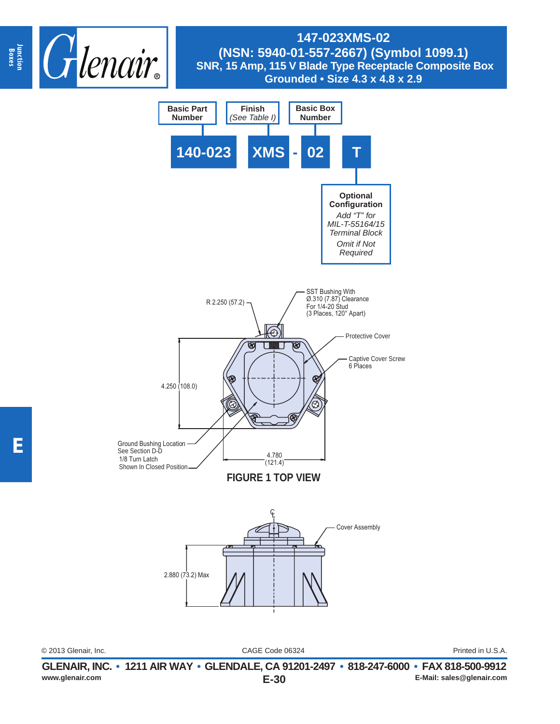



CAGE Code 06324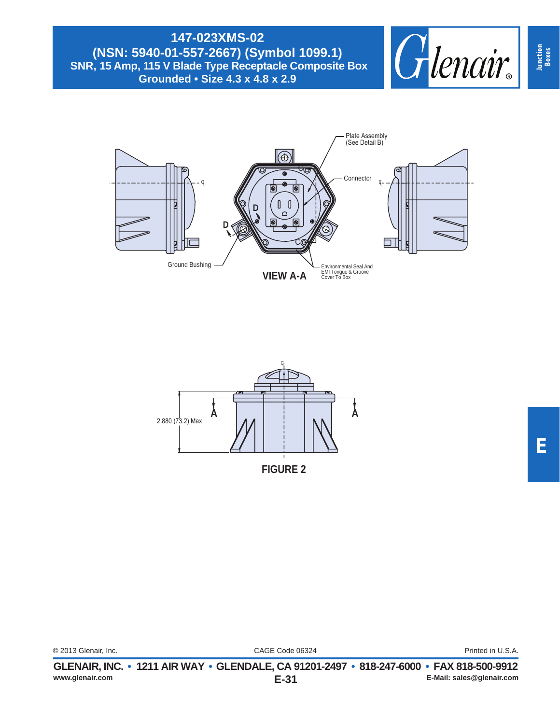





**Junction Boxes**

|                      | GLENAIR, INC. • 1211 AIR WAY • GLENDALE, CA 91201-2497 • 818-247-6000 • FAX 818-500-9912 |                   |
|----------------------|------------------------------------------------------------------------------------------|-------------------|
| © 2013 Glenair, Inc. | CAGE Code 06324                                                                          | Printed in U.S.A. |

**E-31 www.glenair.com E-Mail: sales@glenair.com**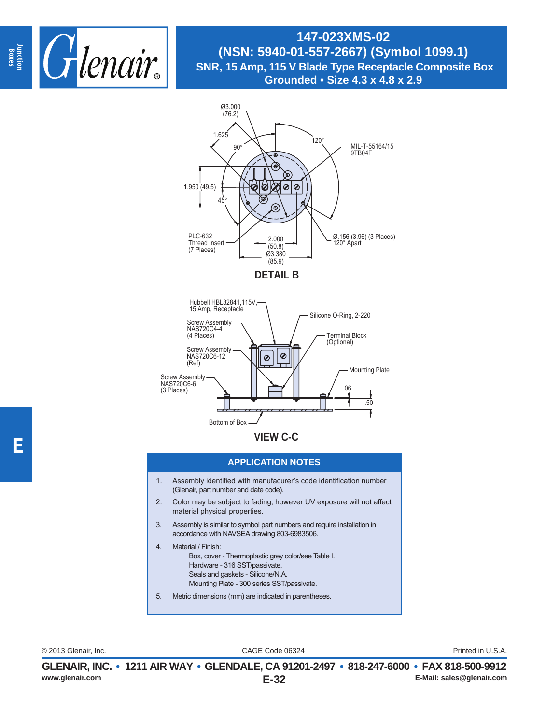



Bottom of Box

**VIEW C-C**

## **APPLICATION NOTES**

- 1. Assembly identified with manufacurer's code identification number (Glenair, part number and date code).
- 2. Color may be subject to fading, however UV exposure will not affect material physical properties.
- 3. Assembly is similar to symbol part numbers and require installation in accordance with NAVSEA drawing 803-6983506.
- 4. Material / Finish: Box, cover - Thermoplastic grey color/see Table I. Hardware - 316 SST/passivate. Seals and gaskets - Silicone/N.A. Mounting Plate - 300 series SST/passivate.
- 5. Metric dimensions (mm) are indicated in parentheses.

CAGE Code 06324 © 2013 Glenair, Inc. Printed in U.S.A.